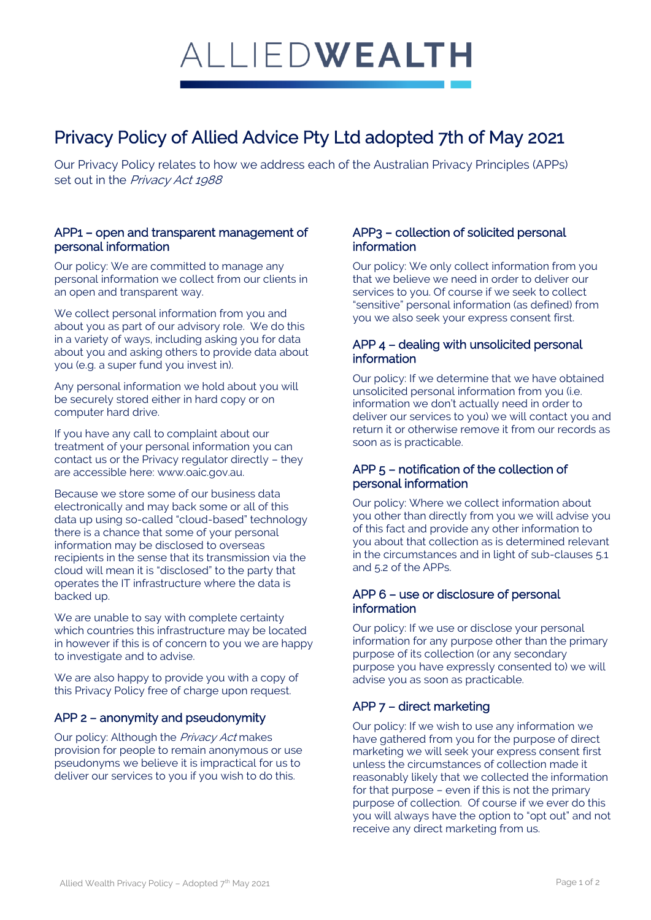# ALLIEDWEALTH

# Privacy Policy of Allied Advice Pty Ltd adopted 7th of May 2021

Our Privacy Policy relates to how we address each of the Australian Privacy Principles (APPs) set out in the Privacy Act 1988

#### APP1 – open and transparent management of personal information

Our policy: We are committed to manage any personal information we collect from our clients in an open and transparent way.

We collect personal information from you and about you as part of our advisory role. We do this in a variety of ways, including asking you for data about you and asking others to provide data about you (e.g. a super fund you invest in).

Any personal information we hold about you will be securely stored either in hard copy or on computer hard drive.

If you have any call to complaint about our treatment of your personal information you can contact us or the Privacy regulator directly – they are accessible here: www.oaic.gov.au.

Because we store some of our business data electronically and may back some or all of this data up using so-called "cloud-based" technology there is a chance that some of your personal information may be disclosed to overseas recipients in the sense that its transmission via the cloud will mean it is "disclosed" to the party that operates the IT infrastructure where the data is backed up.

We are unable to say with complete certainty which countries this infrastructure may be located in however if this is of concern to you we are happy to investigate and to advise.

We are also happy to provide you with a copy of this Privacy Policy free of charge upon request.

# APP 2 – anonymity and pseudonymity

Our policy: Although the Privacy Act makes provision for people to remain anonymous or use pseudonyms we believe it is impractical for us to deliver our services to you if you wish to do this.

# APP3 – collection of solicited personal information

Our policy: We only collect information from you that we believe we need in order to deliver our services to you. Of course if we seek to collect "sensitive" personal information (as defined) from you we also seek your express consent first.

#### APP 4 – dealing with unsolicited personal information

Our policy: If we determine that we have obtained unsolicited personal information from you (i.e. information we don't actually need in order to deliver our services to you) we will contact you and return it or otherwise remove it from our records as soon as is practicable.

# APP 5 – notification of the collection of personal information

Our policy: Where we collect information about you other than directly from you we will advise you of this fact and provide any other information to you about that collection as is determined relevant in the circumstances and in light of sub-clauses 5.1 and 5.2 of the APPs.

# APP 6 – use or disclosure of personal information

Our policy: If we use or disclose your personal information for any purpose other than the primary purpose of its collection (or any secondary purpose you have expressly consented to) we will advise you as soon as practicable.

# APP 7 – direct marketing

Our policy: If we wish to use any information we have gathered from you for the purpose of direct marketing we will seek your express consent first unless the circumstances of collection made it reasonably likely that we collected the information for that purpose – even if this is not the primary purpose of collection. Of course if we ever do this you will always have the option to "opt out" and not receive any direct marketing from us.